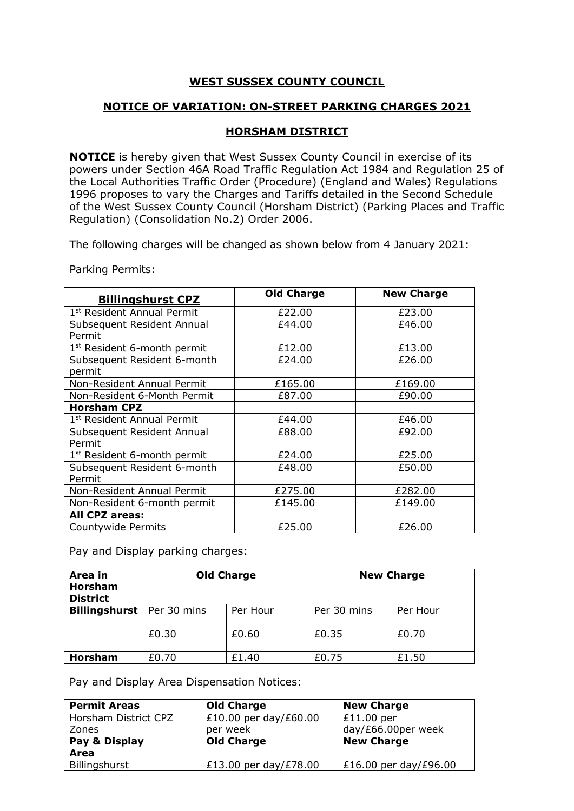## **WEST SUSSEX COUNTY COUNCIL**

## **NOTICE OF VARIATION: ON-STREET PARKING CHARGES 2021**

## **HORSHAM DISTRICT**

**NOTICE** is hereby given that West Sussex County Council in exercise of its powers under Section 46A Road Traffic Regulation Act 1984 and Regulation 25 of the Local Authorities Traffic Order (Procedure) (England and Wales) Regulations 1996 proposes to vary the Charges and Tariffs detailed in the Second Schedule of the West Sussex County Council (Horsham District) (Parking Places and Traffic Regulation) (Consolidation No.2) Order 2006.

The following charges will be changed as shown below from 4 January 2021:

Parking Permits:

| <b>Billingshurst CPZ</b>                | <b>Old Charge</b> | <b>New Charge</b> |
|-----------------------------------------|-------------------|-------------------|
| 1st Resident Annual Permit              | £22.00            | £23.00            |
| Subsequent Resident Annual<br>Permit    | £44.00            | £46.00            |
| 1 <sup>st</sup> Resident 6-month permit | £12.00            | £13.00            |
| Subsequent Resident 6-month<br>permit   | £24.00            | £26.00            |
| Non-Resident Annual Permit              | £165.00           | £169.00           |
| Non-Resident 6-Month Permit             | £87.00            | £90.00            |
| Horsham CPZ                             |                   |                   |
| 1st Resident Annual Permit              | £44.00            | £46.00            |
| Subsequent Resident Annual<br>Permit    | £88.00            | £92.00            |
| 1 <sup>st</sup> Resident 6-month permit | £24.00            | £25.00            |
| Subsequent Resident 6-month<br>Permit   | £48.00            | £50.00            |
| Non-Resident Annual Permit              | £275.00           | £282.00           |
| Non-Resident 6-month permit             | £145.00           | £149.00           |
| All CPZ areas:                          |                   |                   |
| Countywide Permits                      | £25.00            | £26.00            |

Pay and Display parking charges:

| Area in<br><b>Horsham</b><br><b>District</b> |             | <b>Old Charge</b> |             | <b>New Charge</b> |
|----------------------------------------------|-------------|-------------------|-------------|-------------------|
| <b>Billingshurst</b>                         | Per 30 mins | Per Hour          | Per 30 mins | Per Hour          |
|                                              | £0.30       | £0.60             | £0.35       | £0.70             |
| <b>Horsham</b>                               | £0.70       | £1.40             | £0.75       | £1.50             |

Pay and Display Area Dispensation Notices:

| <b>Permit Areas</b>  | <b>Old Charge</b>     | <b>New Charge</b>     |
|----------------------|-----------------------|-----------------------|
| Horsham District CPZ | £10.00 per day/£60.00 | $£11.00$ per          |
| Zones                | per week              | day/£66.00per week    |
| Pay & Display        | <b>Old Charge</b>     | <b>New Charge</b>     |
| Area                 |                       |                       |
| Billingshurst        | £13.00 per day/£78.00 | £16.00 per day/£96.00 |